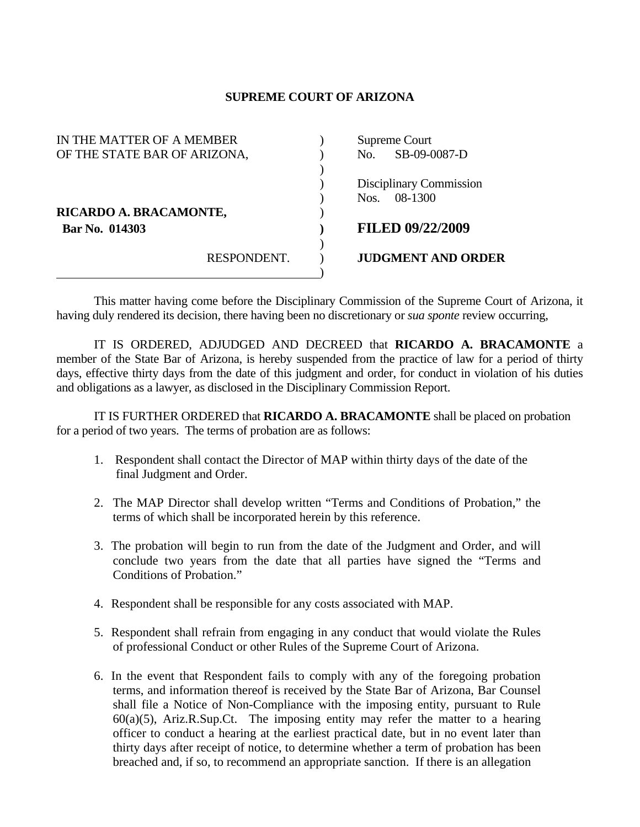## **SUPREME COURT OF ARIZONA**

| IN THE MATTER OF A MEMBER    | Supreme Court             |
|------------------------------|---------------------------|
| OF THE STATE BAR OF ARIZONA, | No. SB-09-0087-D          |
|                              |                           |
|                              | Disciplinary Commission   |
|                              | 08-1300<br>Nos.           |
| RICARDO A. BRACAMONTE,       |                           |
| <b>Bar No. 014303</b>        | <b>FILED 09/22/2009</b>   |
| RESPONDENT.                  | <b>JUDGMENT AND ORDER</b> |
|                              |                           |

 This matter having come before the Disciplinary Commission of the Supreme Court of Arizona, it having duly rendered its decision, there having been no discretionary or *sua sponte* review occurring,

 IT IS ORDERED, ADJUDGED AND DECREED that **RICARDO A. BRACAMONTE** a member of the State Bar of Arizona, is hereby suspended from the practice of law for a period of thirty days, effective thirty days from the date of this judgment and order, for conduct in violation of his duties and obligations as a lawyer, as disclosed in the Disciplinary Commission Report.

 IT IS FURTHER ORDERED that **RICARDO A. BRACAMONTE** shall be placed on probation for a period of two years. The terms of probation are as follows:

- 1. Respondent shall contact the Director of MAP within thirty days of the date of the final Judgment and Order.
- 2. The MAP Director shall develop written "Terms and Conditions of Probation," the terms of which shall be incorporated herein by this reference.
- 3. The probation will begin to run from the date of the Judgment and Order, and will conclude two years from the date that all parties have signed the "Terms and Conditions of Probation."
- 4. Respondent shall be responsible for any costs associated with MAP.
- 5. Respondent shall refrain from engaging in any conduct that would violate the Rules of professional Conduct or other Rules of the Supreme Court of Arizona.
- 6. In the event that Respondent fails to comply with any of the foregoing probation terms, and information thereof is received by the State Bar of Arizona, Bar Counsel shall file a Notice of Non-Compliance with the imposing entity, pursuant to Rule  $60(a)(5)$ , Ariz.R.Sup.Ct. The imposing entity may refer the matter to a hearing officer to conduct a hearing at the earliest practical date, but in no event later than thirty days after receipt of notice, to determine whether a term of probation has been breached and, if so, to recommend an appropriate sanction. If there is an allegation